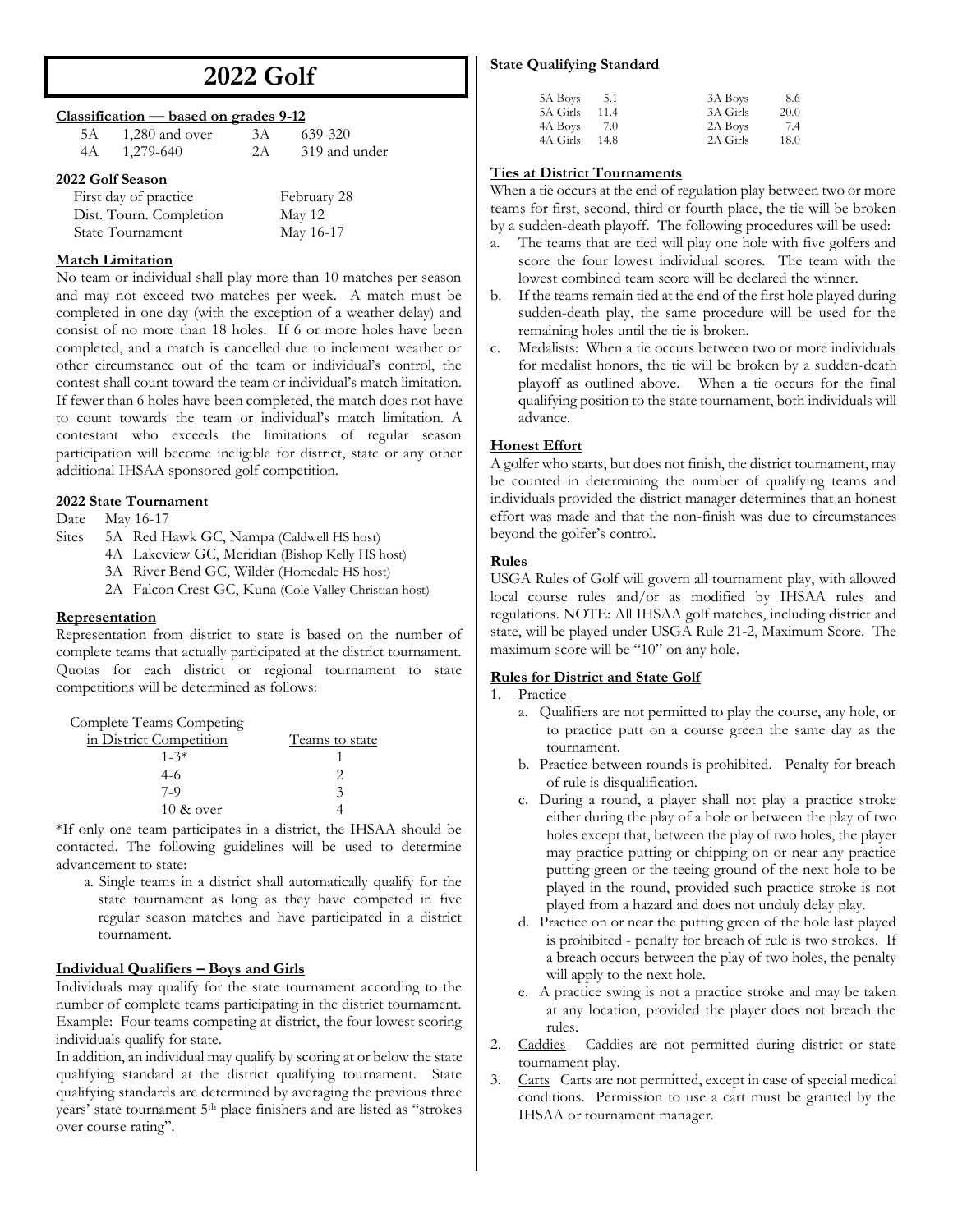# **2022 Golf**

#### **Classification — based on grades 9-12**

| 5А | $1,280$ and over | 3Α  | 639-320       |
|----|------------------|-----|---------------|
| 4Α | 1,279-640        | 2.A | 319 and under |

#### **2022 Golf Season**

| First day of practice   | February 28 |
|-------------------------|-------------|
| Dist. Tourn. Completion | May 12      |
| State Tournament        | May 16-17   |

## **Match Limitation**

No team or individual shall play more than 10 matches per season and may not exceed two matches per week. A match must be completed in one day (with the exception of a weather delay) and consist of no more than 18 holes. If 6 or more holes have been completed, and a match is cancelled due to inclement weather or other circumstance out of the team or individual's control, the contest shall count toward the team or individual's match limitation. If fewer than 6 holes have been completed, the match does not have to count towards the team or individual's match limitation. A contestant who exceeds the limitations of regular season participation will become ineligible for district, state or any other additional IHSAA sponsored golf competition.

# **2022 State Tournament**

May 16-17

- Sites 5A Red Hawk GC, Nampa (Caldwell HS host)
	- 4A Lakeview GC, Meridian (Bishop Kelly HS host)
	- 3A River Bend GC, Wilder (Homedale HS host)
	- 2A Falcon Crest GC, Kuna (Cole Valley Christian host)

## **Representation**

Representation from district to state is based on the number of complete teams that actually participated at the district tournament. Quotas for each district or regional tournament to state competitions will be determined as follows:

#### Complete Teams Competing

| in District Competition | Teams to state |
|-------------------------|----------------|
| $1 - 3*$                |                |
| $4-6$                   |                |
| $7-9$                   | 2              |
| $10 \& over$            |                |

\*If only one team participates in a district, the IHSAA should be contacted. The following guidelines will be used to determine advancement to state:

a. Single teams in a district shall automatically qualify for the state tournament as long as they have competed in five regular season matches and have participated in a district tournament.

## **Individual Qualifiers – Boys and Girls**

Individuals may qualify for the state tournament according to the number of complete teams participating in the district tournament. Example: Four teams competing at district, the four lowest scoring individuals qualify for state.

In addition, an individual may qualify by scoring at or below the state qualifying standard at the district qualifying tournament. State qualifying standards are determined by averaging the previous three years' state tournament 5th place finishers and are listed as "strokes over course rating".

## **State Qualifying Standard**

| 5A Boys  | 5.1  | 3A Boys  | 8.6  |
|----------|------|----------|------|
| 5A Girls | 11.4 | 3A Girls | 20.0 |
| 4A Boys  | 7.0  | 2A Boys  | 7.4  |
| 4A Girls | 14.8 | 2A Girls | 18.0 |

## **Ties at District Tournaments**

When a tie occurs at the end of regulation play between two or more teams for first, second, third or fourth place, the tie will be broken by a sudden-death playoff. The following procedures will be used:

- a. The teams that are tied will play one hole with five golfers and score the four lowest individual scores. The team with the lowest combined team score will be declared the winner.
- b. If the teams remain tied at the end of the first hole played during sudden-death play, the same procedure will be used for the remaining holes until the tie is broken.
- c. Medalists: When a tie occurs between two or more individuals for medalist honors, the tie will be broken by a sudden-death playoff as outlined above. When a tie occurs for the final qualifying position to the state tournament, both individuals will advance.

## **Honest Effort**

A golfer who starts, but does not finish, the district tournament, may be counted in determining the number of qualifying teams and individuals provided the district manager determines that an honest effort was made and that the non-finish was due to circumstances beyond the golfer's control.

## **Rules**

USGA Rules of Golf will govern all tournament play, with allowed local course rules and/or as modified by IHSAA rules and regulations. NOTE: All IHSAA golf matches, including district and state, will be played under USGA Rule 21-2, Maximum Score. The maximum score will be "10" on any hole.

#### **Rules for District and State Golf**

## 1. Practice

- a. Qualifiers are not permitted to play the course, any hole, or to practice putt on a course green the same day as the tournament.
- b. Practice between rounds is prohibited. Penalty for breach of rule is disqualification.
- c. During a round, a player shall not play a practice stroke either during the play of a hole or between the play of two holes except that, between the play of two holes, the player may practice putting or chipping on or near any practice putting green or the teeing ground of the next hole to be played in the round, provided such practice stroke is not played from a hazard and does not unduly delay play.
- d. Practice on or near the putting green of the hole last played is prohibited - penalty for breach of rule is two strokes. If a breach occurs between the play of two holes, the penalty will apply to the next hole.
- e. A practice swing is not a practice stroke and may be taken at any location, provided the player does not breach the rules.
- 2. Caddies Caddies are not permitted during district or state tournament play.
- 3. Carts Carts are not permitted, except in case of special medical conditions. Permission to use a cart must be granted by the IHSAA or tournament manager.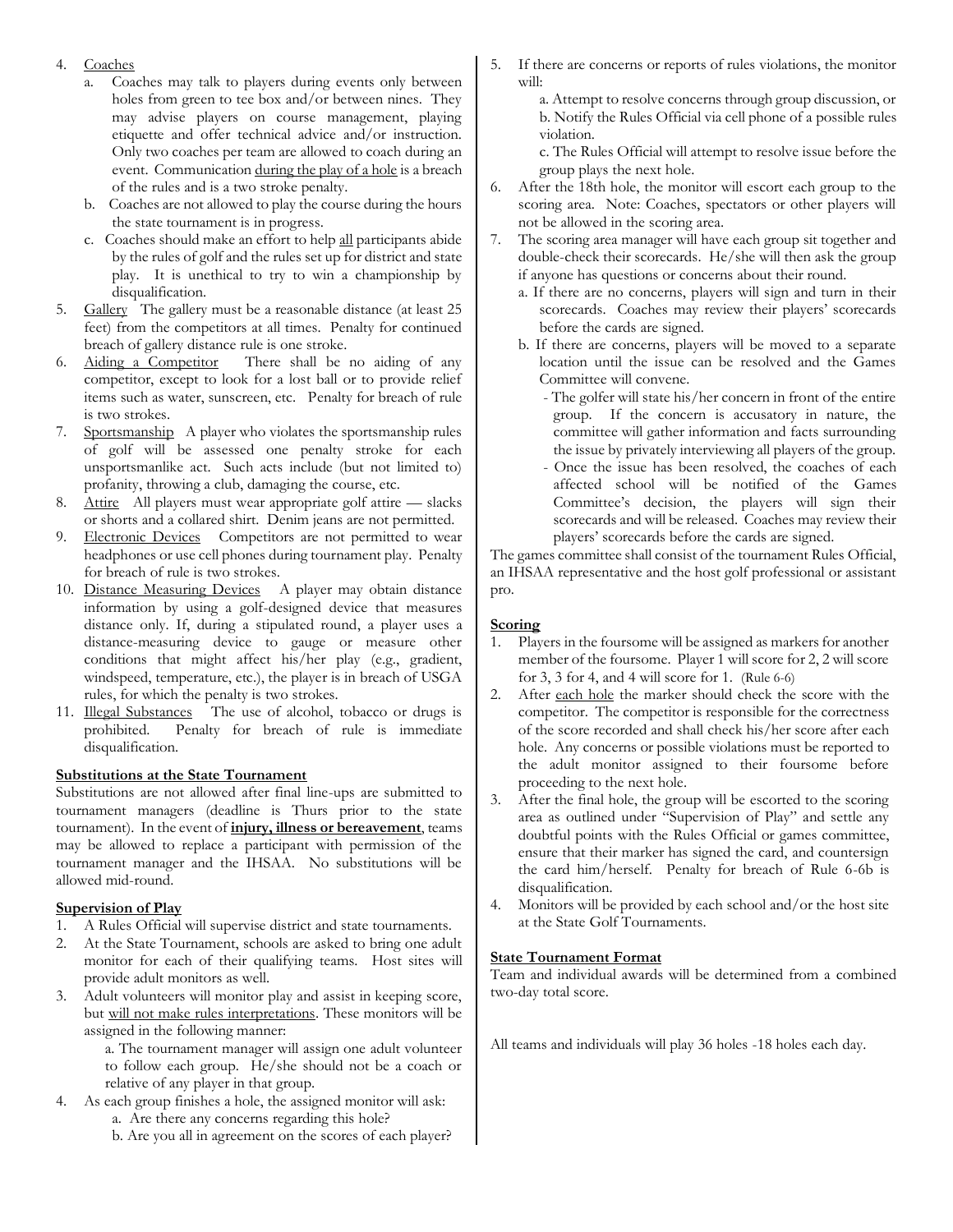- 4. Coaches
	- a. Coaches may talk to players during events only between holes from green to tee box and/or between nines. They may advise players on course management, playing etiquette and offer technical advice and/or instruction. Only two coaches per team are allowed to coach during an event. Communication during the play of a hole is a breach of the rules and is a two stroke penalty.
	- b. Coaches are not allowed to play the course during the hours the state tournament is in progress.
	- c. Coaches should make an effort to help all participants abide by the rules of golf and the rules set up for district and state play. It is unethical to try to win a championship by disqualification.
- 5. Gallery The gallery must be a reasonable distance (at least 25 feet) from the competitors at all times. Penalty for continued breach of gallery distance rule is one stroke.
- 6. Aiding a Competitor There shall be no aiding of any competitor, except to look for a lost ball or to provide relief items such as water, sunscreen, etc. Penalty for breach of rule is two strokes.
- 7. Sportsmanship A player who violates the sportsmanship rules of golf will be assessed one penalty stroke for each unsportsmanlike act. Such acts include (but not limited to) profanity, throwing a club, damaging the course, etc.
- 8. Attire All players must wear appropriate golf attire slacks or shorts and a collared shirt. Denim jeans are not permitted.
- 9. Electronic Devices Competitors are not permitted to wear headphones or use cell phones during tournament play. Penalty for breach of rule is two strokes.
- 10. Distance Measuring Devices A player may obtain distance information by using a golf-designed device that measures distance only. If, during a stipulated round, a player uses a distance-measuring device to gauge or measure other conditions that might affect his/her play (e.g., gradient, windspeed, temperature, etc.), the player is in breach of USGA rules, for which the penalty is two strokes.
- 11. Illegal Substances The use of alcohol, tobacco or drugs is prohibited. Penalty for breach of rule is immediate disqualification.

## **Substitutions at the State Tournament**

Substitutions are not allowed after final line-ups are submitted to tournament managers (deadline is Thurs prior to the state tournament). In the event of **injury, illness or bereavement**, teams may be allowed to replace a participant with permission of the tournament manager and the IHSAA. No substitutions will be allowed mid-round.

## **Supervision of Play**

- 1. A Rules Official will supervise district and state tournaments.
- At the State Tournament, schools are asked to bring one adult monitor for each of their qualifying teams. Host sites will provide adult monitors as well.
- 3. Adult volunteers will monitor play and assist in keeping score, but will not make rules interpretations. These monitors will be assigned in the following manner:

a. The tournament manager will assign one adult volunteer to follow each group. He/she should not be a coach or relative of any player in that group.

4. As each group finishes a hole, the assigned monitor will ask: a. Are there any concerns regarding this hole? b. Are you all in agreement on the scores of each player? 5. If there are concerns or reports of rules violations, the monitor will:

> a. Attempt to resolve concerns through group discussion, or b. Notify the Rules Official via cell phone of a possible rules violation.

> c. The Rules Official will attempt to resolve issue before the group plays the next hole.

- 6. After the 18th hole, the monitor will escort each group to the scoring area. Note: Coaches, spectators or other players will not be allowed in the scoring area.
- 7. The scoring area manager will have each group sit together and double-check their scorecards. He/she will then ask the group if anyone has questions or concerns about their round.
	- a. If there are no concerns, players will sign and turn in their scorecards. Coaches may review their players' scorecards before the cards are signed.
	- b. If there are concerns, players will be moved to a separate location until the issue can be resolved and the Games Committee will convene.
		- The golfer will state his/her concern in front of the entire group. If the concern is accusatory in nature, the committee will gather information and facts surrounding the issue by privately interviewing all players of the group.
		- Once the issue has been resolved, the coaches of each affected school will be notified of the Games Committee's decision, the players will sign their scorecards and will be released. Coaches may review their players' scorecards before the cards are signed.

The games committee shall consist of the tournament Rules Official, an IHSAA representative and the host golf professional or assistant pro.

## **Scoring**

- 1. Players in the foursome will be assigned as markers for another member of the foursome. Player 1 will score for 2, 2 will score for  $3$ ,  $3$  for  $4$ , and  $4$  will score for  $1$ . (Rule  $6-6$ )
- 2. After each hole the marker should check the score with the competitor. The competitor is responsible for the correctness of the score recorded and shall check his/her score after each hole. Any concerns or possible violations must be reported to the adult monitor assigned to their foursome before proceeding to the next hole.
- After the final hole, the group will be escorted to the scoring area as outlined under "Supervision of Play" and settle any doubtful points with the Rules Official or games committee, ensure that their marker has signed the card, and countersign the card him/herself. Penalty for breach of Rule 6-6b is disqualification.
- 4. Monitors will be provided by each school and/or the host site at the State Golf Tournaments.

## **State Tournament Format**

Team and individual awards will be determined from a combined two-day total score.

All teams and individuals will play 36 holes -18 holes each day.